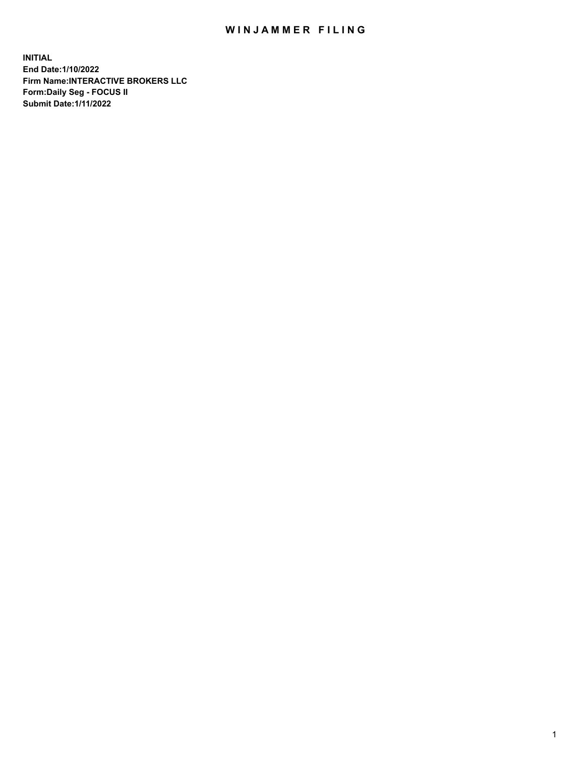## WIN JAMMER FILING

**INITIAL End Date:1/10/2022 Firm Name:INTERACTIVE BROKERS LLC Form:Daily Seg - FOCUS II Submit Date:1/11/2022**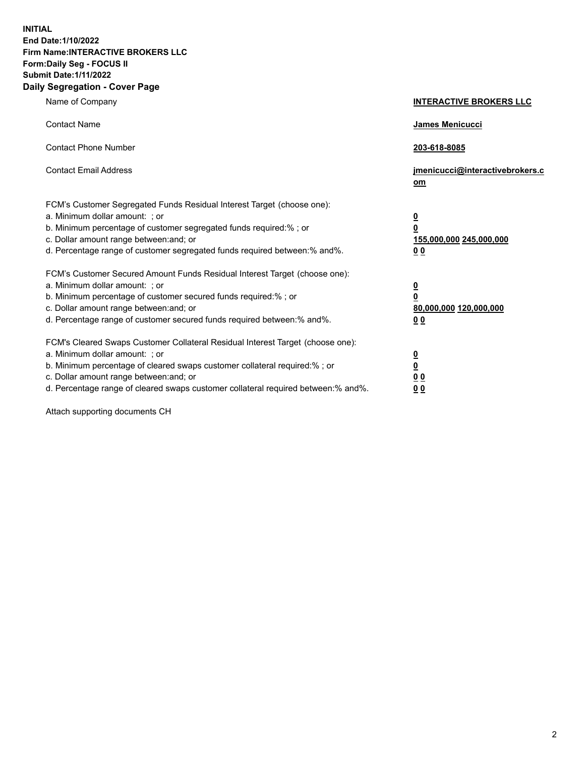**INITIAL End Date:1/10/2022 Firm Name:INTERACTIVE BROKERS LLC Form:Daily Seg - FOCUS II Submit Date:1/11/2022 Daily Segregation - Cover Page**

| Name of Company                                                                                                                                                                                                                                                                                                                | <b>INTERACTIVE BROKERS LLC</b>                                                   |
|--------------------------------------------------------------------------------------------------------------------------------------------------------------------------------------------------------------------------------------------------------------------------------------------------------------------------------|----------------------------------------------------------------------------------|
| <b>Contact Name</b>                                                                                                                                                                                                                                                                                                            | James Menicucci                                                                  |
| <b>Contact Phone Number</b>                                                                                                                                                                                                                                                                                                    | 203-618-8085                                                                     |
| <b>Contact Email Address</b>                                                                                                                                                                                                                                                                                                   | jmenicucci@interactivebrokers.c<br>om                                            |
| FCM's Customer Segregated Funds Residual Interest Target (choose one):<br>a. Minimum dollar amount: ; or<br>b. Minimum percentage of customer segregated funds required:% ; or<br>c. Dollar amount range between: and; or<br>d. Percentage range of customer segregated funds required between: % and %.                       | <u>0</u><br>$\overline{\mathbf{0}}$<br>155,000,000 245,000,000<br>0 <sub>0</sub> |
| FCM's Customer Secured Amount Funds Residual Interest Target (choose one):<br>a. Minimum dollar amount: ; or<br>b. Minimum percentage of customer secured funds required:% ; or<br>c. Dollar amount range between: and; or<br>d. Percentage range of customer secured funds required between:% and%.                           | <u>0</u><br>$\overline{\mathbf{0}}$<br>80,000,000 120,000,000<br>00              |
| FCM's Cleared Swaps Customer Collateral Residual Interest Target (choose one):<br>a. Minimum dollar amount: ; or<br>b. Minimum percentage of cleared swaps customer collateral required:% ; or<br>c. Dollar amount range between: and; or<br>d. Percentage range of cleared swaps customer collateral required between:% and%. | <u>0</u><br>$\underline{\mathbf{0}}$<br>0 <sub>0</sub><br>0 <sub>0</sub>         |

Attach supporting documents CH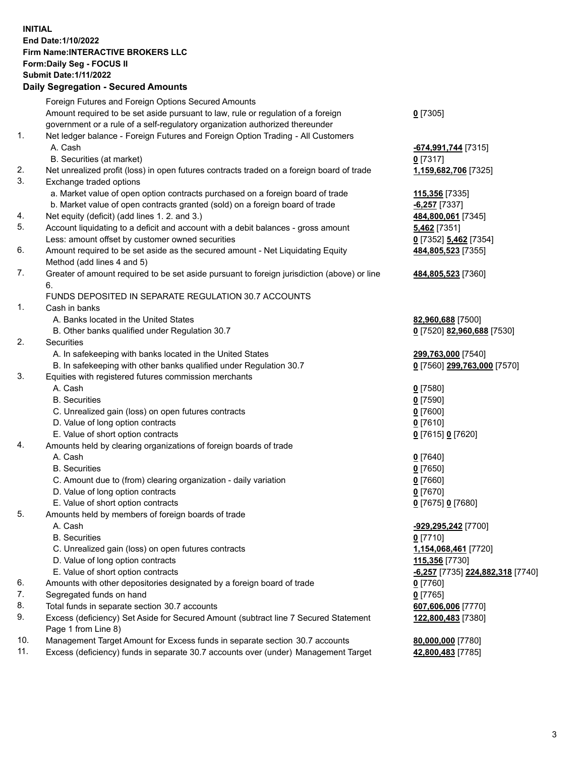**INITIAL End Date:1/10/2022 Firm Name:INTERACTIVE BROKERS LLC Form:Daily Seg - FOCUS II Submit Date:1/11/2022 Daily Segregation - Secured Amounts**

|                | Daily Ocglegation - Occuled Anioants                                                                       |                                               |
|----------------|------------------------------------------------------------------------------------------------------------|-----------------------------------------------|
|                | Foreign Futures and Foreign Options Secured Amounts                                                        |                                               |
|                | Amount required to be set aside pursuant to law, rule or regulation of a foreign                           | $0$ [7305]                                    |
|                | government or a rule of a self-regulatory organization authorized thereunder                               |                                               |
| 1.             | Net ledger balance - Foreign Futures and Foreign Option Trading - All Customers                            |                                               |
|                | A. Cash                                                                                                    | <u>-674,991,744</u> [7315]                    |
|                | B. Securities (at market)                                                                                  | $0$ [7317]                                    |
| 2.             | Net unrealized profit (loss) in open futures contracts traded on a foreign board of trade                  | 1,159,682,706 [7325]                          |
| 3.             | Exchange traded options                                                                                    |                                               |
|                | a. Market value of open option contracts purchased on a foreign board of trade                             | 115,356 [7335]                                |
|                | b. Market value of open contracts granted (sold) on a foreign board of trade                               | $-6,257$ [7337]                               |
| 4.             | Net equity (deficit) (add lines 1. 2. and 3.)                                                              | 484,800,061 [7345]                            |
| 5.             | Account liquidating to a deficit and account with a debit balances - gross amount                          | 5,462 [7351]                                  |
|                | Less: amount offset by customer owned securities                                                           | 0 [7352] 5,462 [7354]                         |
| 6.             | Amount required to be set aside as the secured amount - Net Liquidating Equity                             | 484,805,523 [7355]                            |
|                | Method (add lines 4 and 5)                                                                                 |                                               |
| 7.             | Greater of amount required to be set aside pursuant to foreign jurisdiction (above) or line                | 484,805,523 [7360]                            |
|                | 6.                                                                                                         |                                               |
|                | FUNDS DEPOSITED IN SEPARATE REGULATION 30.7 ACCOUNTS                                                       |                                               |
| $\mathbf{1}$ . | Cash in banks                                                                                              |                                               |
|                | A. Banks located in the United States                                                                      | 82,960,688 [7500]                             |
|                | B. Other banks qualified under Regulation 30.7                                                             | 0 [7520] 82,960,688 [7530]                    |
| 2.             | <b>Securities</b>                                                                                          |                                               |
|                | A. In safekeeping with banks located in the United States                                                  | 299,763,000 [7540]                            |
|                | B. In safekeeping with other banks qualified under Regulation 30.7                                         | 0 [7560] 299,763,000 [7570]                   |
| 3.             | Equities with registered futures commission merchants                                                      |                                               |
|                | A. Cash                                                                                                    | $0$ [7580]                                    |
|                | <b>B.</b> Securities                                                                                       | $0$ [7590]                                    |
|                | C. Unrealized gain (loss) on open futures contracts                                                        | $0$ [7600]                                    |
|                | D. Value of long option contracts                                                                          | $0$ [7610]                                    |
|                | E. Value of short option contracts                                                                         | 0 [7615] 0 [7620]                             |
| 4.             | Amounts held by clearing organizations of foreign boards of trade                                          |                                               |
|                | A. Cash                                                                                                    | $0$ [7640]                                    |
|                | <b>B.</b> Securities                                                                                       | $0$ [7650]                                    |
|                | C. Amount due to (from) clearing organization - daily variation                                            | $0$ [7660]                                    |
|                | D. Value of long option contracts                                                                          | $0$ [7670]                                    |
|                | E. Value of short option contracts                                                                         | 0 [7675] 0 [7680]                             |
| 5.             | Amounts held by members of foreign boards of trade                                                         |                                               |
|                | A. Cash                                                                                                    | -929,295,242 <sup>[7700]</sup>                |
|                | <b>B.</b> Securities                                                                                       | $0$ [7710]                                    |
|                | C. Unrealized gain (loss) on open futures contracts                                                        | 1,154,068,461 [7720]                          |
|                | D. Value of long option contracts                                                                          | 115,356 [7730]                                |
|                | E. Value of short option contracts                                                                         | <mark>-6,257</mark> [7735] 224,882,318 [7740] |
| 6.             | Amounts with other depositories designated by a foreign board of trade                                     | $0$ [7760]                                    |
| 7.<br>8.       | Segregated funds on hand                                                                                   | $0$ [7765]                                    |
|                | Total funds in separate section 30.7 accounts                                                              | 607,606,006 [7770]                            |
| 9.             | Excess (deficiency) Set Aside for Secured Amount (subtract line 7 Secured Statement<br>Page 1 from Line 8) | 122,800,483 [7380]                            |
| 10.            | Management Target Amount for Excess funds in separate section 30.7 accounts                                | 80,000,000 [7780]                             |
| 11.            | Excess (deficiency) funds in separate 30.7 accounts over (under) Management Target                         | 42,800,483 [7785]                             |
|                |                                                                                                            |                                               |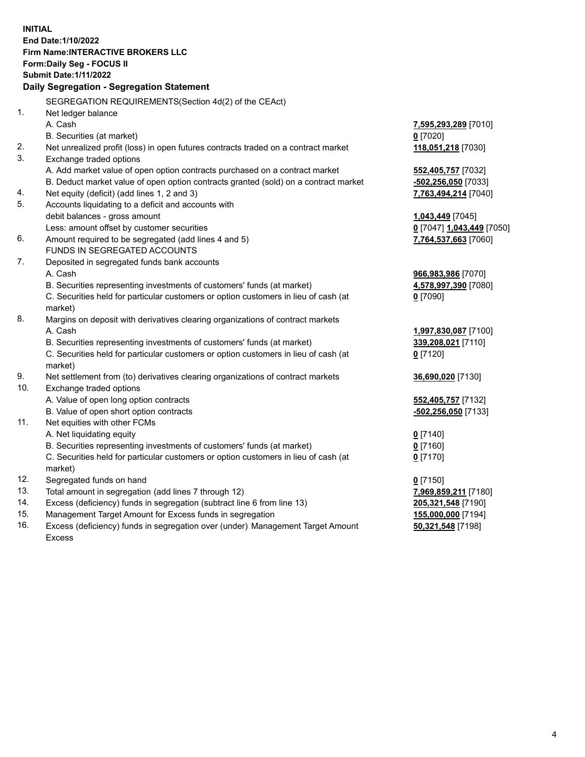**INITIAL End Date:1/10/2022 Firm Name:INTERACTIVE BROKERS LLC Form:Daily Seg - FOCUS II Submit Date:1/11/2022 Daily Segregation - Segregation Statement** SEGREGATION REQUIREMENTS(Section 4d(2) of the CEAct) 1. Net ledger balance A. Cash **7,595,293,289** [7010] B. Securities (at market) **0** [7020] 2. Net unrealized profit (loss) in open futures contracts traded on a contract market **118,051,218** [7030] 3. Exchange traded options A. Add market value of open option contracts purchased on a contract market **552,405,757** [7032] B. Deduct market value of open option contracts granted (sold) on a contract market **-502,256,050** [7033] 4. Net equity (deficit) (add lines 1, 2 and 3) **7,763,494,214** [7040] 5. Accounts liquidating to a deficit and accounts with debit balances - gross amount **1,043,449** [7045] Less: amount offset by customer securities **0** [7047] **1,043,449** [7050] 6. Amount required to be segregated (add lines 4 and 5) **7,764,537,663** [7060] FUNDS IN SEGREGATED ACCOUNTS 7. Deposited in segregated funds bank accounts A. Cash **966,983,986** [7070] B. Securities representing investments of customers' funds (at market) **4,578,997,390** [7080] C. Securities held for particular customers or option customers in lieu of cash (at market) **0** [7090] 8. Margins on deposit with derivatives clearing organizations of contract markets A. Cash **1,997,830,087** [7100] B. Securities representing investments of customers' funds (at market) **339,208,021** [7110] C. Securities held for particular customers or option customers in lieu of cash (at market) **0** [7120] 9. Net settlement from (to) derivatives clearing organizations of contract markets **36,690,020** [7130] 10. Exchange traded options A. Value of open long option contracts **552,405,757** [7132] B. Value of open short option contracts **-502,256,050** [7133] 11. Net equities with other FCMs A. Net liquidating equity **0** [7140] B. Securities representing investments of customers' funds (at market) **0** [7160] C. Securities held for particular customers or option customers in lieu of cash (at market) **0** [7170] 12. Segregated funds on hand **0** [7150] 13. Total amount in segregation (add lines 7 through 12) **7,969,859,211** [7180] 14. Excess (deficiency) funds in segregation (subtract line 6 from line 13) **205,321,548** [7190] 15. Management Target Amount for Excess funds in segregation **155,000,000** [7194]

16. Excess (deficiency) funds in segregation over (under) Management Target Amount Excess

**50,321,548** [7198]